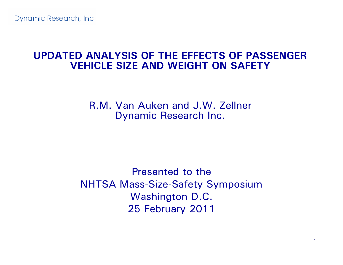#### **UPDATED ANALYSIS OF THE EFFECTS OF PASSENGER VEHICLE SIZE AND WEIGHT ON SAFETY**

R.M. Van Auken and J.W. Zellner Dynamic Research Inc.

Presented to theNHTSA Mass-Size-Safety Symposium Washington D.C. 25 February 2011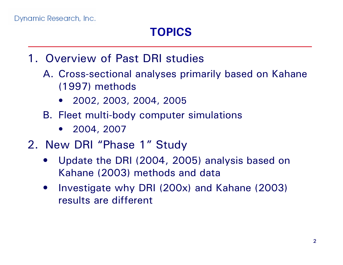# **TOPICS**

- 1. Overview of Past DRI studies
	- A. Cross-sectional analyses primarily based on Kahane (1997) methods
		- •2002, 2003, 2004, 2005
	- B. Fleet multi-body computer simulations
		- •2004, 2007
- 2. New DRI "Phase 1" Study
	- • Update the DRI (2004, 2005) analysis based on Kahane (2003) methods and data
	- • Investigate why DRI (200x) and Kahane (2003) results are different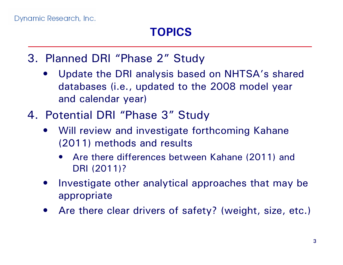- 3. Planned DRI "Phase 2" Study
	- • Update the DRI analysis based on NHTSA's shared databases (i.e., updated to the 2008 model year and calendar year)
- 4. Potential DRI "Phase 3" Study
	- • Will review and investigate forthcoming Kahane (2011) methods and results
		- • Are there differences between Kahane (2011) and DRI (2011)?
	- • Investigate other analytical approaches that may be appropriate
	- •Are there clear drivers of safety? (weight, size, etc.)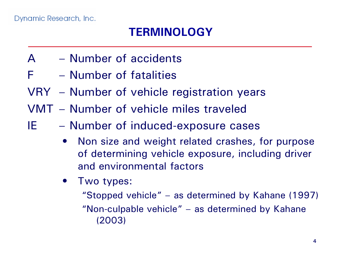## **TERMINOLOGY**

- A Number of accidents
- F Number of fatalities
- VRY Number of vehicle registration years
- VMT Number of vehicle miles traveled
- IE Number of induced-exposure cases
	- • Non size and weight related crashes, for purpose of determining vehicle exposure, including driver and environmental factors
	- • Two types:
		- "Stopped vehicle" as determined by Kahane (1997)
		- "Non-culpable vehicle" as determined by Kahane (2003)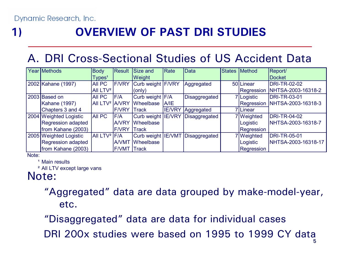# **1) OVERVIEW OF PAST DRI STUDIES**

### A. DRI Cross-Sectional Studies of US Accident Data

| Year Methods           | <b>Body</b>                | Result             | Size and           | Rate | <b>Data</b>                      | States Method | Report/             |
|------------------------|----------------------------|--------------------|--------------------|------|----------------------------------|---------------|---------------------|
|                        | TypeS <sup>1</sup>         |                    | Weight             |      |                                  |               | <b>Docket</b>       |
| 2002 Kahane (1997)     | <b>AII PC</b>              | <b>F/VRY</b>       | Curb weight F/VRY  |      | Aggregated                       | 50 Linear     | <b>DRI-TR-02-02</b> |
|                        | All $LTV2$                 |                    | (only)             |      |                                  | Regression    | NHTSA-2003-16318-2  |
| 2003 Based on          | <b>AII PC</b>              | F/A                | Curb weight F/A    |      | Disaggregated                    | 7 Logistic    | <b>DRI-TR-03-01</b> |
| <b>Kahane (1997)</b>   | AII LTV <sup>2</sup> A/VRY |                    | Wheelbase A/IE     |      |                                  | Regression    | NHTSA-2003-16318-3  |
| Chapters 3 and 4       |                            | <b>F/VRY</b>       | <b>Track</b>       |      | <b>IE/VRY</b> Aggregated         | 7Linear       |                     |
| 2004 Weighted Logistic | <b>AII PC</b>              | <b>IF/A</b>        |                    |      | Curb weight IE/VRY Disaggregated | 7 Weighted    | <b>DRI-TR-04-02</b> |
| Regression adapted     |                            | <b>A/VRY</b>       | <b>I</b> Wheelbase |      |                                  | Logistic      | NHTSA-2003-16318-7  |
| from Kahane (2003)     |                            | <b>F/VRY</b>       | $\vert$ Track      |      |                                  | Regression    |                     |
| 2005 Weighted Logistic | AII LTV <sup>2</sup> F/A   |                    |                    |      | Curb weight IE/VMT Disaggregated | 7 Weighted    | <b>DRI-TR-05-01</b> |
| Regression adapted     |                            | <b>A/VMT</b>       | Wheelbase          |      |                                  | Logistic      | NHTSA-2003-16318-17 |
| from Kahane (2003)     |                            | <b>F/VMT Track</b> |                    |      |                                  | Regression    |                     |

Note:

<sup>1</sup> Main results

² All LTV except large vans

#### Note:

"Aggregated" data are data grouped by make-model-year, etc.

"Disaggregated" data are data for individual cases

DRI 200x studies were based on 1995 to 1999 CY data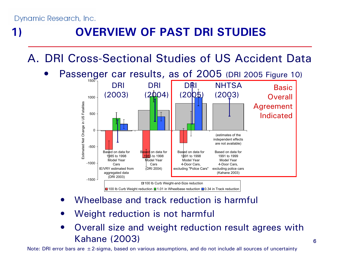•

# **1) OVERVIEW OF PAST DRI STUDIES**

A. DRI Cross-Sectional Studies of US Accident Data



- •Wheelbase and track reduction is harmful
- •Weight reduction is not harmful
- • Overall size and weight reduction result agrees with Kahane (2003)

Note: DRI error bars are  $\pm 2$ -sigma, based on various assumptions, and do not include all sources of uncertainty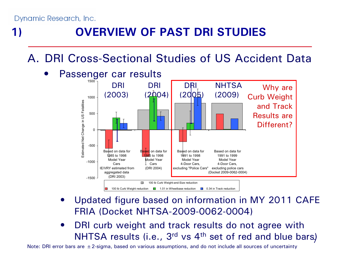•

# **1) OVERVIEW OF PAST DRI STUDIES**

A. DRI Cross-Sectional Studies of US Accident Data



- • Updated figure based on information in MY 2011 CAFE FRIA (Docket NHTSA-2009-0062-0004)
- $\mathsf{NHTSA}$  results (i.e.,  $\mathsf{3^{rd}}$  vs  $\mathsf{4^{th}}$  set of red and blue bars)  $\bullet$ DRI curb weight and track results do not agree with

Note: DRI error bars are  $\pm 2$ -sigma, based on various assumptions, and do not include all sources of uncertainty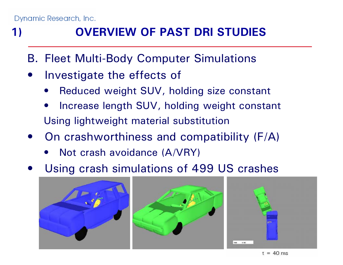# **1) OVERVIEW OF PAST DRI STUDIES**

- B. Fleet Multi-Body Computer Simulations
- $\bullet$  Investigate the effects of
	- •Reduced weight SUV, holding size constant
	- • Increase length SUV, holding weight constant Using lightweight material substitution
- $\bullet$  On crashworthiness and compatibility (F/A)
	- $\bullet$ Not crash avoidance (A/VRY)
- $\bullet$ Using crash simulations of 499 US crashes







 $t = 40$  ms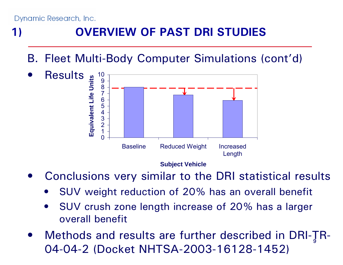# **1) OVERVIEW OF PAST DRI STUDIES**

B. Fleet Multi-Body Computer Simulations (cont'd)



 $\bullet$ Conclusions very similar to the DRI statistical results

- •SUV weight reduction of 20% has an overall benefit
- • SUV crush zone length increase of 20% has a larger overall benefit
- 9 $\bullet$  Methods and results are further described in DRI-TR-04-04-2 (Docket NHTSA-2003-16128-1452)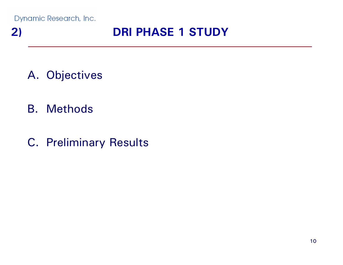## **2) DRI PHASE 1 STUDY**

- A. Objectives
- B. Methods
- C. Preliminary Results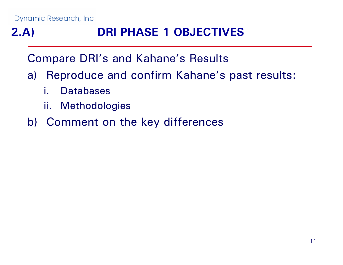# **2.A) DRI PHASE 1 OBJECTIVES**

Compare DRI's and Kahane's Results

- a) Reproduce and confirm Kahane's past results:
	- i. Databases
	- ii. Methodologies
- b) Comment on the key differences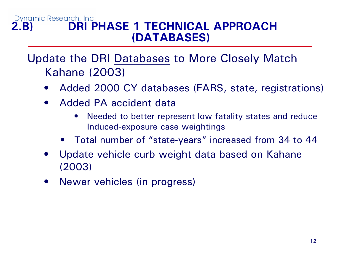#### Dynamic Research, Inc. **2.B) DRI PHASE 1 TECHNICAL APPROACH (DATABASES)**

### Update the DRI Databases to More Closely Match Kahane (2003)

- $\bullet$ Added 2000 CY databases (FARS, state, registrations)
- • Added PA accident data
	- $\bullet$  Needed to better represent low fatality states and reduce Induced-exposure case weightings
	- Total number of "state-years" increased from 34 to 44
- $\bullet$  Update vehicle curb weight data based on Kahane (2003)
- •Newer vehicles (in progress)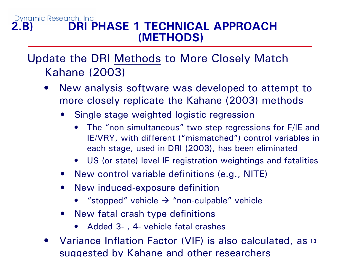#### Dynamic Research, Inc. **2.B) DRI PHASE 1 TECHNICAL APPROACH (METHODS)**

### Update the DRI Methods to More Closely Match Kahane (2003)

- • New analysis software was developed to attempt to more closely replicate the Kahane (2003) methods
	- • Single stage weighted logistic regression
		- $\bullet$  The "non-simultaneous" two-step regressions for F/IE and IE/VRY, with different ("mismatched") control variables in each stage, used in DRI (2003), has been eliminated
		- US (or state) level IE registration weightings and fatalities
	- New control variable definitions (e.g., NITE)
	- • New induced-exposure definition
		- •"stopped" vehicle  $\rightarrow$  "non-culpable" vehicle
	- • New fatal crash type definitions
		- $\bullet$ Added 3- , 4- vehicle fatal crashes
- Variance Inflation Factor (VIF) is also calculated, as 13 •suggested b y Kahane and other researchers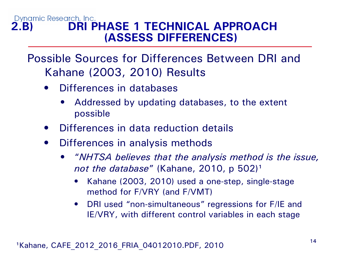#### Dynamic Research, Inc. **2.B) DRI PHASE 1 TECHNICAL APPROACH (ASSESS DIFFERENCES)**

Possible Sources for Differences Between DRI and Kahane (2003, 2010) Results

- $\bullet$  Differences in databases
	- • Addressed by updating databases, to the extent possible
- •Differences in data reduction details
- • Differences in analysis methods
	- • "*NHTSA believes that the analysis method is the issue, not the database"* (Kahane, 2010, p 502)<sup>1</sup>
		- $\bullet$  Kahane (2003, 2010) used a one-step, single-stage method for F/VRY (and F/VMT)
		- DRI used "non-simultaneous" regressions for F/IE and IE/VRY, with different control variables in each stage

1Kahane, CAFE 2012 2016 FRIA 04012010.PDF, 2010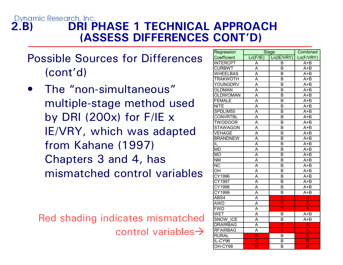#### Dynamic Research, Inc. **2.B) DRI PHASE 1 TECHNICAL APPROACH (ASSESS DIFFERENCES CONT'D)**

Possible Sources for Differences (cont'd)

• The "non-simultaneous" multiple-stage method used by DRI (200x) for  $F/E \times$ IE/VRY, which was adapted from Kahane (1997) Chapters 3 and 4, has mismatched control variables

Red shading indicates mismatched control variables $\rightarrow$ 

| Regression      | <b>Stage</b>   | Combined       |                         |  |
|-----------------|----------------|----------------|-------------------------|--|
| Coefficient     | Ln(F/IE)       | Ln(IE/VRY)     | Ln(F/VRY)               |  |
| <b>INTERCPT</b> | A              | B              | A+B                     |  |
| <b>CURBWT</b>   | A              | B              | $A + B$                 |  |
| <b>WHEELBAS</b> | A              | B              | $A + B$                 |  |
| <b>TRAKWDTH</b> | A              | B              | $A + B$                 |  |
| YOUNGDRV        | A              | B              | $A + B$                 |  |
| <b>OLDMAN</b>   | A              | B              | $A + B$                 |  |
| <b>OLDWOMAN</b> | Ā              | B              | $A + B$                 |  |
| <b>FEMALE</b>   | A              | B              | $A + B$                 |  |
| <b>NITE</b>     | A              | B              | $A + B$                 |  |
| SPDLIM55        | A              | B              | $A + B$                 |  |
| <b>CONVRTBL</b> | A              | B              | $A + B$                 |  |
| <b>TWODOOR</b>  | A              | B              | $A + B$                 |  |
| <b>STAWAGON</b> | A              | B              | $A + B$                 |  |
| <b>VEHAGE</b>   | A              | B              | $A + B$                 |  |
| <b>BRANDNEW</b> | A              | B              | $A + B$                 |  |
| IL              | A              | B              | $A + B$                 |  |
| <b>MD</b>       | A              | B              | $A + B$                 |  |
| $\overline{MO}$ | Ā              | B              | $A + B$                 |  |
| <b>NM</b>       | A              | B              | $A + B$                 |  |
| <b>NC</b>       | A              | B              | $A + B$                 |  |
| OH              | A              | B              | $A + B$                 |  |
| CY1996          | A              | B              | $A + B$                 |  |
| CY1997          | A              | B              | $A + B$                 |  |
| CY1998          | Ā              | B              | $A + B$                 |  |
| CY1999          | A              | B              | $A + B$                 |  |
| ABS4            | A              | $\overline{0}$ | A                       |  |
| <b>AWD</b>      | A              | $\overline{0}$ | A                       |  |
| <b>FWD</b>      | A              | $\overline{0}$ | Ă                       |  |
| <b>WET</b>      | A              | B              | $A + B$                 |  |
| <b>SNOW ICE</b> | A              | B              | A+B                     |  |
| <b>DRAIRBAG</b> | A              | $\overline{0}$ | A                       |  |
| <b>RFAIRBAG</b> | Ā              | $\overline{0}$ | A                       |  |
| <b>RURAL</b>    | $\overline{0}$ | B              | B                       |  |
| IL-CY96         | $\overline{0}$ | B              | $\overline{\mathsf{B}}$ |  |
| OH-CY98         | $\overline{0}$ | B              | $\overline{\mathsf{B}}$ |  |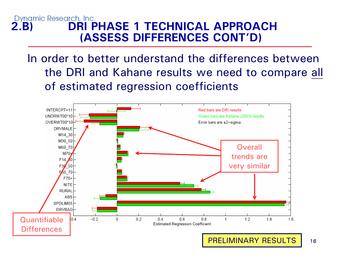#### Dynamic Research, Inc. **2.B) DRI PHASE 1 TECHNICAL APPROACH (ASSESS DIFFERENCES CONT'D)**

In order to better understand the differences between the DRI and Kahane results we need to compare all of estimated regression coefficients

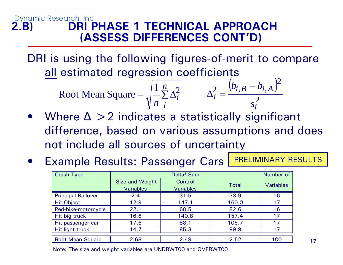#### Dynamic Research, Inc. **2.B) DRI PHASE 1 TECHNICAL APPROACH (ASSESS DIFFERENCES CONT'D)**

DRI is using the following figures-of-merit to compare all estimated regression coefficients

Root Mean Square = 
$$
\sqrt{\frac{1}{n} \sum_{i=1}^{n} \Delta_i^2}
$$
 
$$
\Delta_i^2 = \frac{(b_{i,B} - b_{i,A})^2}{s_i^2}
$$

- $\bullet$ Where  $\Delta > 2$  indicates a statistically significant difference, based on various assumptions and does not include all sources of uncertainty
- $\bullet$ Example Results: Passenger Cars **PRELIMINARY RESULTS**

| Crash Type                | Delta <sup>2</sup> Sum |                  |              | Number of        |
|---------------------------|------------------------|------------------|--------------|------------------|
|                           | Size and Weight        | Control          | <b>Total</b> | <b>Variables</b> |
|                           | <b>Variables</b>       | <b>Variables</b> |              |                  |
| <b>Principal Rollover</b> | 2.4                    | 31.5             | 33.9         | 16               |
| <b>Hit Object</b>         | 12.9                   | 147.1            | 160.0        | 17               |
| Ped-bike-motorcycle       | 22.1                   | 60.5             | 82.6         | 16               |
| Hit big truck             | 16.6                   | 140.8            | 157.4        | 17               |
| Hit passenger car         | 17.6                   | 88.1             | 105.7        | 17               |
| Hit light truck           | 14.7                   | 85.3             | 99.9         | 17               |
| <b>Root Mean Square</b>   | 2.68                   | 2.49             | 2.52         | 100              |

Note: The size and weight variables are UNDRWT00 and OVERWT00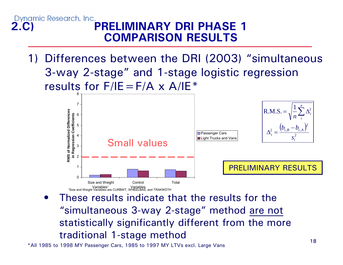1) Differences between the DRI (2003) "simultaneous 3-way 2-stage" and 1-stage logistic regression results for  $F/IE = F/A \times A/IE^*$ 



• These results indicate that the results for the "simultaneous 3-way 2-stage" method are not statistically significantly different from the more traditional 1-stage method

\*All 1985 to 1998 MY Passenger Cars, 1985 to 1997 MY LTVs excl. Large Vans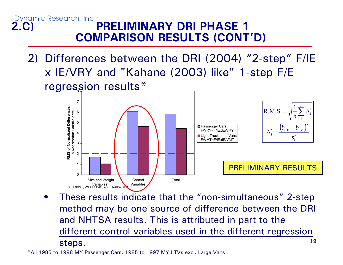2) Differences between the DRI (2004) "2-step" F/IE x IE/VRY and "Kahane (2003) like" 1-step F/E regres<u>sion results\*</u>



19• These results indicate that the "non-simultaneous" 2-step method may be one source of difference between the DRI and NHTSA results. This is attributed in part to the different control variables used in the different regression steps.

\*All 1985 to 1998 MY Passenger Cars, 1985 to 1997 MY LTVs excl. Large Vans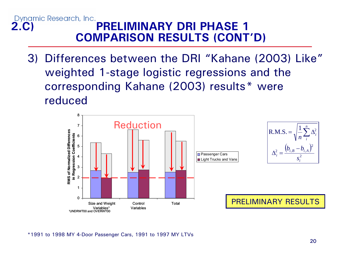3) Differences between the DRI "Kahane (2003) Like" weighted 1-stage logistic regressions and the corresponding Kahane (2003) results\* were reduced



\*1991 to 1998 MY 4-Door Passenger Cars, 1991 to 1997 MY LTVs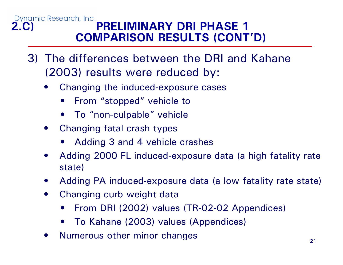- 3) The differences between the DRI and Kahane (2003) results were reduced by:
	- • Changing the induced-exposure cases
		- $\bullet$ From "stopped" vehicle to
		- $\bullet$ To "non-culpable" vehicle
	- • Changing fatal crash types
		- •Adding 3 and 4 vehicle crashes
	- • Adding 2000 FL induced-exposure data (a high fatality rate state)
	- $\bullet$ Adding PA induced-exposure data (a low fatality rate state)
	- $\bullet$  Changing curb weight data
		- $\bullet$ From DRI (2002) values (TR-02-02 Appendices)
		- •To Kahane (2003) values (Appendices)
	- •Numerous other minor changes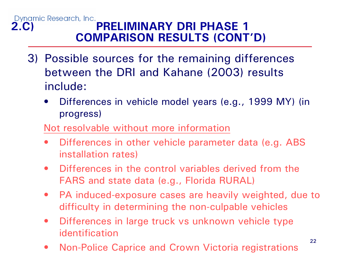- 3) Possible sources for the remaining differences between the DRI and Kahane (2003) results include:
	- $\bullet$  Differences in vehicle model years (e.g., 1999 MY) (in progress)

#### Not resolvable without more information

- • Differences in other vehicle parameter data (e.g. ABS installation rates)
- $\bullet$  Differences in the control variables derived from the FARS and state data (e.g., Florida RURAL)
- $\bullet$  PA induced-exposure cases are heavily weighted, due to difficulty in determining the non-culpable vehicles
- $\bullet$  Differences in large truck vs unknown vehicle type identification
- •Non-Police Caprice and Crown Victoria registrations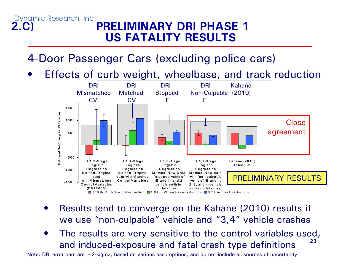#### Dynamic Research, Inc. **2.C) PRELIMINARY DRI PHASE 1 US FATALITY RESULTS**

### 4-Door Passenger Cars (excluding police cars)

•Effects of curb weight, wheelbase, and track reduction



- • Results tend to converge on the Kahane (2010) results if we use "non-culpable" vehicle and "3,4" vehicle crashes
- 23 $\bullet$  The results are very sensitive to the control variables used, and induced-exposure and fatal crash type definitions

Note: DRI error bars are  $\pm$  2-sigma, based on various assumptions, and do not include all sources of uncertainty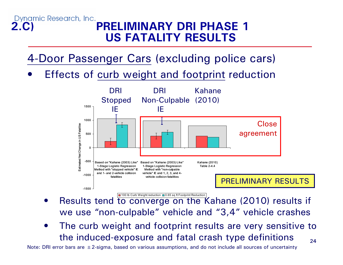#### Dynamic Research, Inc. **2.C) PRELIMINARY DRI PHASE 1 US FATALITY RESULTS**

4-Door Passenger Cars (excluding police cars)

•Effects of curb weight and footprint reduction



- • Results tend to converge on the Kahane (2010) results if we use "non-culpable" vehicle and "3,4" vehicle crashes 100 lb Curb Weight reduction ⊟ 0.65 sq ft Footprint Reduction
- 24• The curb weight and footprint results are very sensitive to the induced-exposure and fatal crash type definitions

Note: DRI error bars are ±2-sigma, based on various assumptions, and do not include all sources of uncertainty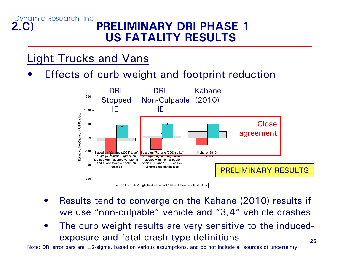#### Dynamic Research, Inc. **2.C) PRELIMINARY DRI PHASE 1 US FATALITY RESULTS**

### Light Trucks and Vans

•Effects of curb weight and footprint reduction



- $\bullet$  Results tend to converge on the Kahane (2010) results if we use "non-culpable" vehicle and "3,4" vehicle crashes
- • The curb weight results are very sensitive to the inducedexposure and fatal crash type definitions

Note: DRI error bars are  $\pm 2$ -sigma, based on various assumptions, and do not include all sources of uncertainty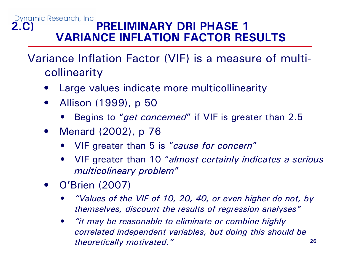#### Dynamic Research, Inc. **2.C) PRELIMINARY DRI PHASE 1 VARIANCE INFLATION FACTOR RESULTS**

Variance Inflation Factor (VIF) is a measure of multicollinearity

- •Large values indicate more multicollinearity
- • Allison (1999), p 50
	- •Begins to "*get concerned*" if VIF is greater than 2.5
- • Menard (2002), p 76
	- •VIF greater than 5 is "*cause for concern* "
	- • VIF greater than 10 "*almost certainly indicates a serious multicolineary problem* "
- • O'Brien (2007)
	- • *"Values of the VIF of 10, 20, 40, or even higher do not, by themselves, discount the results of regression analyses"*
	- 26 $\bullet$  *"it may be reasonable to eliminate or combine highly correlated independent variables, but doing this should be theoretically motivated."*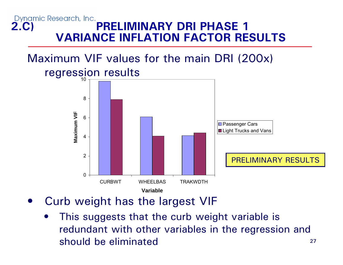#### Dynamic Research, Inc. **2.C) PRELIMINARY DRI PHASE 1 VARIANCE INFLATION FACTOR RESULTS**

# Maximum VIF values for the main DRI (200x) regression results



- $\bullet$  Curb weight has the largest VIF
	- • This suggests that the curb weight variable is redundant with other variables in the regression and should be eliminated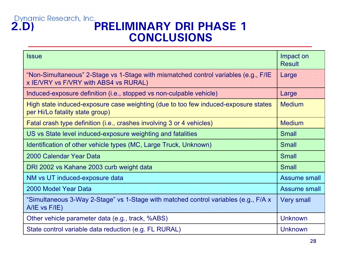# **2.D)**<br>**PRELIMINARY DRI PHASE 1 CONCLUSIONS**

| <b>Issue</b>                                                                                                                 | Impact on<br><b>Result</b> |
|------------------------------------------------------------------------------------------------------------------------------|----------------------------|
| "Non-Simultaneous" 2-Stage vs 1-Stage with mismatched control variables (e.g., F/IE<br>x IE/VRY vs F/VRY with ABS4 vs RURAL) | Large                      |
| Induced-exposure definition (i.e., stopped vs non-culpable vehicle)                                                          | Large                      |
| High state induced-exposure case weighting (due to too few induced-exposure states<br>per Hi/Lo fatality state group)        | <b>Medium</b>              |
| Fatal crash type definition (i.e., crashes involving 3 or 4 vehicles)                                                        | <b>Medium</b>              |
| US vs State level induced-exposure weighting and fatalities                                                                  | <b>Small</b>               |
| Identification of other vehicle types (MC, Large Truck, Unknown)                                                             | <b>Small</b>               |
| 2000 Calendar Year Data                                                                                                      | <b>Small</b>               |
| DRI 2002 vs Kahane 2003 curb weight data                                                                                     | <b>Small</b>               |
| NM vs UT induced-exposure data                                                                                               | <b>Assume small</b>        |
| 2000 Model Year Data                                                                                                         | Assume small               |
| "Simultaneous 3-Way 2-Stage" vs 1-Stage with matched control variables (e.g., F/A x<br>$A/IE$ vs $F/IE$ )                    | <b>Very small</b>          |
| Other vehicle parameter data (e.g., track, %ABS)                                                                             | <b>Unknown</b>             |
| State control variable data reduction (e.g. FL RURAL)                                                                        | <b>Unknown</b>             |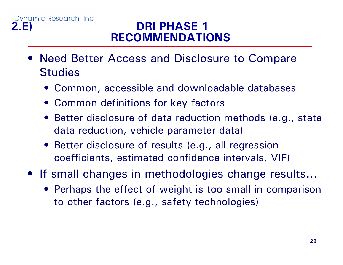### **2.E) DRI PHASE 1 RECOMMENDATIONS**

- Need Better Access and Disclosure to Compare **Studies** 
	- Common, accessible and downloadable databases
	- Common definitions for key factors
	- Better disclosure of data reduction methods (e.g., state data reduction, vehicle parameter data)
	- Better disclosure of results (e.g., all regression coefficients, estimated confidence intervals, VIF)
- If small changes in methodologies change results…
	- Perhaps the effect of weight is too small in comparison to other factors (e.g., safety technologies)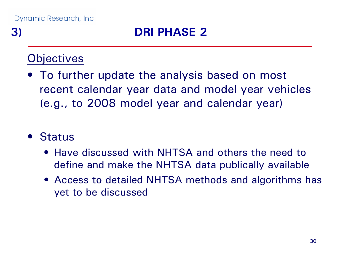### **Objectives**

• To further update the analysis based on most recent calendar year data and model year vehicles (e.g., to 2008 model year and calendar year)

### • Status

- Have discussed with NHTSA and others the need to define and make the NHTSA data publically available
- Access to detailed NHTSA methods and algorithms has yet to be discussed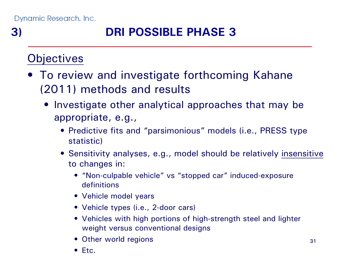**3) DRI POSSIBLE PHASE 3**

### **Objectives**

- To review and investigate forthcoming Kahane (2011) methods and results
	- Investigate other analytical approaches that may be appropriate, e.g.,
		- Predictive fits and "parsimonious" models (i.e., PRESS type statistic)
		- Sensitivity analyses, e.g., model should be relatively insensitive to changes in:
			- "Non-culpable vehicle" vs "stopped car" induced-exposure definitions
			- Vehicle model years
			- Vehicle types (i.e., 2-door cars)
			- Vehicles with high portions of high-strength steel and lighter weight versus conventional designs
			- Other world regions
			- Etc.